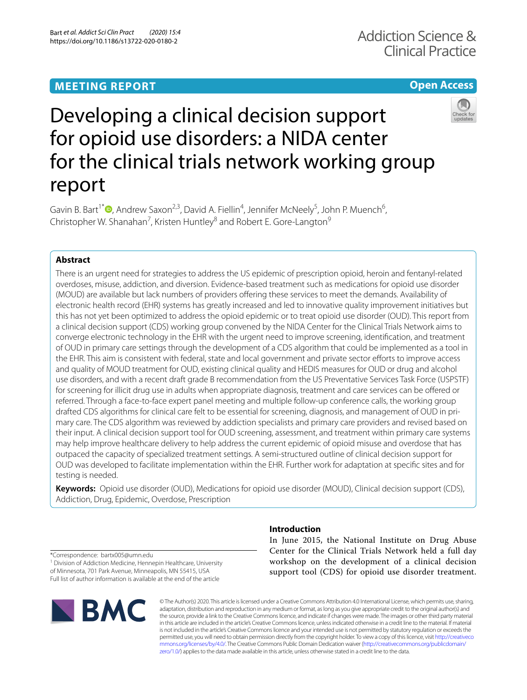# **MEETING REPORT**

# **Open Access**



# Developing a clinical decision support for opioid use disorders: a NIDA center for the clinical trials network working group report

Gavin B. Bart<sup>1\*</sup><sup>O</sup>[,](http://orcid.org/0000-0001-6127-8530) Andrew Saxon<sup>2,3</sup>, David A. Fiellin<sup>4</sup>, Jennifer McNeely<sup>5</sup>, John P. Muench<sup>6</sup>, Christopher W. Shanahan<sup>7</sup>, Kristen Huntley<sup>8</sup> and Robert E. Gore-Langton<sup>9</sup>

## **Abstract**

There is an urgent need for strategies to address the US epidemic of prescription opioid, heroin and fentanyl-related overdoses, misuse, addiction, and diversion. Evidence-based treatment such as medications for opioid use disorder (MOUD) are available but lack numbers of providers ofering these services to meet the demands. Availability of electronic health record (EHR) systems has greatly increased and led to innovative quality improvement initiatives but this has not yet been optimized to address the opioid epidemic or to treat opioid use disorder (OUD). This report from a clinical decision support (CDS) working group convened by the NIDA Center for the Clinical Trials Network aims to converge electronic technology in the EHR with the urgent need to improve screening, identifcation, and treatment of OUD in primary care settings through the development of a CDS algorithm that could be implemented as a tool in the EHR. This aim is consistent with federal, state and local government and private sector eforts to improve access and quality of MOUD treatment for OUD, existing clinical quality and HEDIS measures for OUD or drug and alcohol use disorders, and with a recent draft grade B recommendation from the US Preventative Services Task Force (USPSTF) for screening for illicit drug use in adults when appropriate diagnosis, treatment and care services can be ofered or referred. Through a face-to-face expert panel meeting and multiple follow-up conference calls, the working group drafted CDS algorithms for clinical care felt to be essential for screening, diagnosis, and management of OUD in pri‑ mary care. The CDS algorithm was reviewed by addiction specialists and primary care providers and revised based on their input. A clinical decision support tool for OUD screening, assessment, and treatment within primary care systems may help improve healthcare delivery to help address the current epidemic of opioid misuse and overdose that has outpaced the capacity of specialized treatment settings. A semi-structured outline of clinical decision support for OUD was developed to facilitate implementation within the EHR. Further work for adaptation at specifc sites and for testing is needed.

**Keywords:** Opioid use disorder (OUD), Medications for opioid use disorder (MOUD), Clinical decision support (CDS), Addiction, Drug, Epidemic, Overdose, Prescription

**Introduction**

In June 2015, the National Institute on Drug Abuse Center for the Clinical Trials Network held a full day workshop on the development of a clinical decision support tool (CDS) for opioid use disorder treatment.

\*Correspondence: bartx005@umn.edu

<sup>1</sup> Division of Addiction Medicine, Hennepin Healthcare, University of Minnesota, 701 Park Avenue, Minneapolis, MN 55415, USA Full list of author information is available at the end of the article



© The Author(s) 2020. This article is licensed under a Creative Commons Attribution 4.0 International License, which permits use, sharing, adaptation, distribution and reproduction in any medium or format, as long as you give appropriate credit to the original author(s) and the source, provide a link to the Creative Commons licence, and indicate if changes were made. The images or other third party material in this article are included in the article's Creative Commons licence, unless indicated otherwise in a credit line to the material. If material is not included in the article's Creative Commons licence and your intended use is not permitted by statutory regulation or exceeds the permitted use, you will need to obtain permission directly from the copyright holder. To view a copy of this licence, visit [http://creativeco](http://creativecommons.org/licenses/by/4.0/) [mmons.org/licenses/by/4.0/.](http://creativecommons.org/licenses/by/4.0/) The Creative Commons Public Domain Dedication waiver ([http://creativecommons.org/publicdomain/](http://creativecommons.org/publicdomain/zero/1.0/) [zero/1.0/\)](http://creativecommons.org/publicdomain/zero/1.0/) applies to the data made available in this article, unless otherwise stated in a credit line to the data.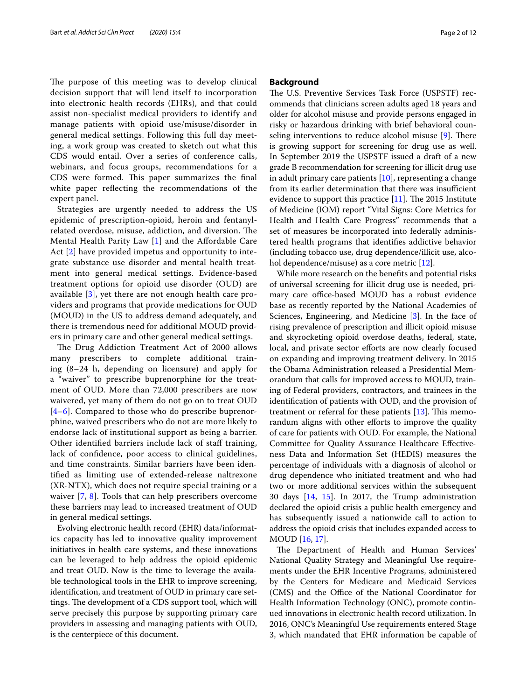The purpose of this meeting was to develop clinical decision support that will lend itself to incorporation into electronic health records (EHRs), and that could assist non-specialist medical providers to identify and manage patients with opioid use/misuse/disorder in general medical settings. Following this full day meeting, a work group was created to sketch out what this CDS would entail. Over a series of conference calls, webinars, and focus groups, recommendations for a CDS were formed. This paper summarizes the final white paper reflecting the recommendations of the expert panel.

Strategies are urgently needed to address the US epidemic of prescription-opioid, heroin and fentanylrelated overdose, misuse, addiction, and diversion. The Mental Health Parity Law [[1\]](#page-10-0) and the Afordable Care Act [[2\]](#page-10-1) have provided impetus and opportunity to integrate substance use disorder and mental health treatment into general medical settings. Evidence-based treatment options for opioid use disorder (OUD) are available [[3\]](#page-10-2), yet there are not enough health care providers and programs that provide medications for OUD (MOUD) in the US to address demand adequately, and there is tremendous need for additional MOUD providers in primary care and other general medical settings.

The Drug Addiction Treatment Act of 2000 allows many prescribers to complete additional training (8–24 h, depending on licensure) and apply for a "waiver" to prescribe buprenorphine for the treatment of OUD. More than 72,000 prescribers are now waivered, yet many of them do not go on to treat OUD [[4](#page-10-3)[–6](#page-10-4)]. Compared to those who do prescribe buprenorphine, waived prescribers who do not are more likely to endorse lack of institutional support as being a barrier. Other identified barriers include lack of staff training, lack of confdence, poor access to clinical guidelines, and time constraints. Similar barriers have been identifed as limiting use of extended-release naltrexone (XR-NTX), which does not require special training or a waiver [[7,](#page-10-5) [8](#page-10-6)]. Tools that can help prescribers overcome these barriers may lead to increased treatment of OUD in general medical settings.

Evolving electronic health record (EHR) data/informatics capacity has led to innovative quality improvement initiatives in health care systems, and these innovations can be leveraged to help address the opioid epidemic and treat OUD. Now is the time to leverage the available technological tools in the EHR to improve screening, identifcation, and treatment of OUD in primary care settings. The development of a CDS support tool, which will serve precisely this purpose by supporting primary care providers in assessing and managing patients with OUD, is the centerpiece of this document.

#### **Background**

The U.S. Preventive Services Task Force (USPSTF) recommends that clinicians screen adults aged 18 years and older for alcohol misuse and provide persons engaged in risky or hazardous drinking with brief behavioral counseling interventions to reduce alcohol misuse  $[9]$  $[9]$ . There is growing support for screening for drug use as well. In September 2019 the USPSTF issued a draft of a new grade B recommendation for screening for illicit drug use in adult primary care patients [\[10](#page-10-8)], representing a change from its earlier determination that there was insufficient evidence to support this practice  $[11]$  $[11]$  $[11]$ . The 2015 Institute of Medicine (IOM) report "Vital Signs: Core Metrics for Health and Health Care Progress" recommends that a set of measures be incorporated into federally administered health programs that identifes addictive behavior (including tobacco use, drug dependence/illicit use, alco-hol dependence/misuse) as a core metric [\[12](#page-10-10)].

While more research on the benefts and potential risks of universal screening for illicit drug use is needed, primary care office-based MOUD has a robust evidence base as recently reported by the National Academies of Sciences, Engineering, and Medicine [[3\]](#page-10-2). In the face of rising prevalence of prescription and illicit opioid misuse and skyrocketing opioid overdose deaths, federal, state, local, and private sector efforts are now clearly focused on expanding and improving treatment delivery. In 2015 the Obama Administration released a Presidential Memorandum that calls for improved access to MOUD, training of Federal providers, contractors, and trainees in the identifcation of patients with OUD, and the provision of treatment or referral for these patients  $[13]$  $[13]$ . This memorandum aligns with other efforts to improve the quality of care for patients with OUD. For example, the National Committee for Quality Assurance Healthcare Efectiveness Data and Information Set (HEDIS) measures the percentage of individuals with a diagnosis of alcohol or drug dependence who initiated treatment and who had two or more additional services within the subsequent 30 days [\[14](#page-10-12), [15\]](#page-10-13). In 2017, the Trump administration declared the opioid crisis a public health emergency and has subsequently issued a nationwide call to action to address the opioid crisis that includes expanded access to MOUD [[16](#page-10-14), [17\]](#page-10-15).

The Department of Health and Human Services' National Quality Strategy and Meaningful Use requirements under the EHR Incentive Programs, administered by the Centers for Medicare and Medicaid Services (CMS) and the Office of the National Coordinator for Health Information Technology (ONC), promote continued innovations in electronic health record utilization. In 2016, ONC's Meaningful Use requirements entered Stage 3, which mandated that EHR information be capable of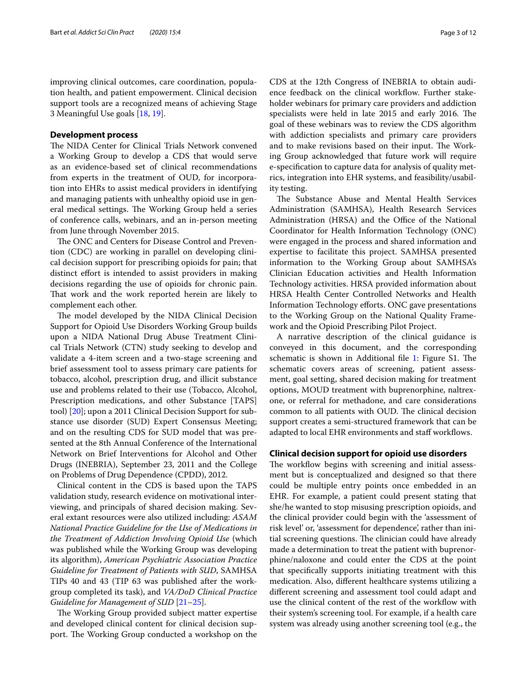improving clinical outcomes, care coordination, population health, and patient empowerment. Clinical decision support tools are a recognized means of achieving Stage 3 Meaningful Use goals [[18](#page-11-0), [19\]](#page-11-1).

#### **Development process**

The NIDA Center for Clinical Trials Network convened a Working Group to develop a CDS that would serve as an evidence-based set of clinical recommendations from experts in the treatment of OUD, for incorporation into EHRs to assist medical providers in identifying and managing patients with unhealthy opioid use in general medical settings. The Working Group held a series of conference calls, webinars, and an in-person meeting from June through November 2015.

The ONC and Centers for Disease Control and Prevention (CDC) are working in parallel on developing clinical decision support for prescribing opioids for pain; that distinct effort is intended to assist providers in making decisions regarding the use of opioids for chronic pain. That work and the work reported herein are likely to complement each other.

The model developed by the NIDA Clinical Decision Support for Opioid Use Disorders Working Group builds upon a NIDA National Drug Abuse Treatment Clinical Trials Network (CTN) study seeking to develop and validate a 4-item screen and a two-stage screening and brief assessment tool to assess primary care patients for tobacco, alcohol, prescription drug, and illicit substance use and problems related to their use (Tobacco, Alcohol, Prescription medications, and other Substance [TAPS] tool) [\[20](#page-11-2)]; upon a 2011 Clinical Decision Support for substance use disorder (SUD) Expert Consensus Meeting; and on the resulting CDS for SUD model that was presented at the 8th Annual Conference of the International Network on Brief Interventions for Alcohol and Other Drugs (INEBRIA), September 23, 2011 and the College on Problems of Drug Dependence (CPDD), 2012.

Clinical content in the CDS is based upon the TAPS validation study, research evidence on motivational interviewing, and principals of shared decision making. Several extant resources were also utilized including: *ASAM National Practice Guideline for the Use of Medications in the Treatment of Addiction Involving Opioid Use* (which was published while the Working Group was developing its algorithm), *American Psychiatric Association Practice Guideline for Treatment of Patients with SUD*, SAMHSA TIPs 40 and 43 (TIP 63 was published after the workgroup completed its task), and *VA/DoD Clinical Practice Guideline for Management of SUD* [\[21–](#page-11-3)[25\]](#page-11-4).

The Working Group provided subject matter expertise and developed clinical content for clinical decision support. The Working Group conducted a workshop on the CDS at the 12th Congress of INEBRIA to obtain audience feedback on the clinical workflow. Further stakeholder webinars for primary care providers and addiction specialists were held in late 2015 and early 2016. The goal of these webinars was to review the CDS algorithm with addiction specialists and primary care providers and to make revisions based on their input. The Working Group acknowledged that future work will require e-specifcation to capture data for analysis of quality metrics, integration into EHR systems, and feasibility/usability testing.

The Substance Abuse and Mental Health Services Administration (SAMHSA), Health Research Services Administration (HRSA) and the Office of the National Coordinator for Health Information Technology (ONC) were engaged in the process and shared information and expertise to facilitate this project. SAMHSA presented information to the Working Group about SAMHSA's Clinician Education activities and Health Information Technology activities. HRSA provided information about HRSA Health Center Controlled Networks and Health Information Technology efforts. ONC gave presentations to the Working Group on the National Quality Framework and the Opioid Prescribing Pilot Project.

A narrative description of the clinical guidance is conveyed in this document, and the corresponding schematic is shown in Additional file  $1$ : Figure S1. The schematic covers areas of screening, patient assessment, goal setting, shared decision making for treatment options, MOUD treatment with buprenorphine, naltrexone, or referral for methadone, and care considerations common to all patients with OUD. The clinical decision support creates a semi-structured framework that can be adapted to local EHR environments and staff workflows.

## **Clinical decision support for opioid use disorders**

The workflow begins with screening and initial assessment but is conceptualized and designed so that there could be multiple entry points once embedded in an EHR. For example, a patient could present stating that she/he wanted to stop misusing prescription opioids, and the clinical provider could begin with the 'assessment of risk level' or, 'assessment for dependence', rather than initial screening questions. The clinician could have already made a determination to treat the patient with buprenorphine/naloxone and could enter the CDS at the point that specifcally supports initiating treatment with this medication. Also, diferent healthcare systems utilizing a diferent screening and assessment tool could adapt and use the clinical content of the rest of the workfow with their system's screening tool. For example, if a health care system was already using another screening tool (e.g., the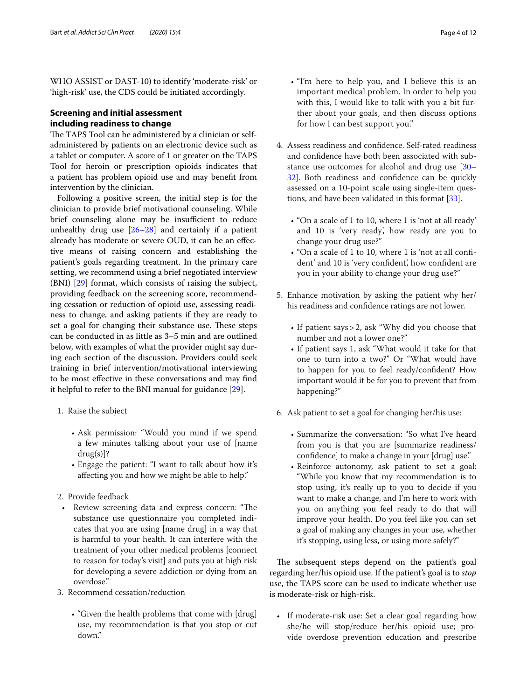WHO ASSIST or DAST-10) to identify 'moderate-risk' or 'high-risk' use, the CDS could be initiated accordingly.

## **Screening and initial assessment including readiness to change**

The TAPS Tool can be administered by a clinician or selfadministered by patients on an electronic device such as a tablet or computer. A score of 1 or greater on the TAPS Tool for heroin or prescription opioids indicates that a patient has problem opioid use and may beneft from intervention by the clinician.

Following a positive screen, the initial step is for the clinician to provide brief motivational counseling. While brief counseling alone may be insufficient to reduce unhealthy drug use  $[26-28]$  $[26-28]$  and certainly if a patient already has moderate or severe OUD, it can be an efective means of raising concern and establishing the patient's goals regarding treatment. In the primary care setting, we recommend using a brief negotiated interview (BNI) [\[29](#page-11-7)] format, which consists of raising the subject, providing feedback on the screening score, recommending cessation or reduction of opioid use, assessing readiness to change, and asking patients if they are ready to set a goal for changing their substance use. These steps can be conducted in as little as 3–5 min and are outlined below, with examples of what the provider might say during each section of the discussion. Providers could seek training in brief intervention/motivational interviewing to be most efective in these conversations and may fnd it helpful to refer to the BNI manual for guidance [\[29\]](#page-11-7).

- 1. Raise the subject
	- Ask permission: "Would you mind if we spend a few minutes talking about your use of [name drug(s)]?
	- Engage the patient: "I want to talk about how it's afecting you and how we might be able to help."
- 2. Provide feedback
- Review screening data and express concern: "The substance use questionnaire you completed indicates that you are using [name drug] in a way that is harmful to your health. It can interfere with the treatment of your other medical problems [connect to reason for today's visit] and puts you at high risk for developing a severe addiction or dying from an overdose."
- 3. Recommend cessation/reduction
	- "Given the health problems that come with [drug] use, my recommendation is that you stop or cut down."
- "I'm here to help you, and I believe this is an important medical problem. In order to help you with this, I would like to talk with you a bit further about your goals, and then discuss options for how I can best support you."
- 4. Assess readiness and confdence. Self-rated readiness and confdence have both been associated with substance use outcomes for alcohol and drug use [\[30–](#page-11-8) [32](#page-11-9)]. Both readiness and confdence can be quickly assessed on a 10-point scale using single-item questions, and have been validated in this format [[33](#page-11-10)].
	- "On a scale of 1 to 10, where 1 is 'not at all ready' and 10 is 'very ready', how ready are you to change your drug use?"
	- "On a scale of 1 to 10, where 1 is 'not at all confdent' and 10 is 'very confdent', how confdent are you in your ability to change your drug use?"
- 5. Enhance motivation by asking the patient why her/ his readiness and confdence ratings are not lower.
	- If patient says > 2, ask "Why did you choose that number and not a lower one?"
	- If patient says 1, ask "What would it take for that one to turn into a two?" Or "What would have to happen for you to feel ready/confdent? How important would it be for you to prevent that from happening?"
- 6. Ask patient to set a goal for changing her/his use:
	- Summarize the conversation: "So what I've heard from you is that you are [summarize readiness/ confdence] to make a change in your [drug] use."
	- Reinforce autonomy, ask patient to set a goal: "While you know that my recommendation is to stop using, it's really up to you to decide if you want to make a change, and I'm here to work with you on anything you feel ready to do that will improve your health. Do you feel like you can set a goal of making any changes in your use, whether it's stopping, using less, or using more safely?"

The subsequent steps depend on the patient's goal regarding her/his opioid use. If the patient's goal is to *stop* use, the TAPS score can be used to indicate whether use is moderate-risk or high-risk.

• If moderate-risk use: Set a clear goal regarding how she/he will stop/reduce her/his opioid use; provide overdose prevention education and prescribe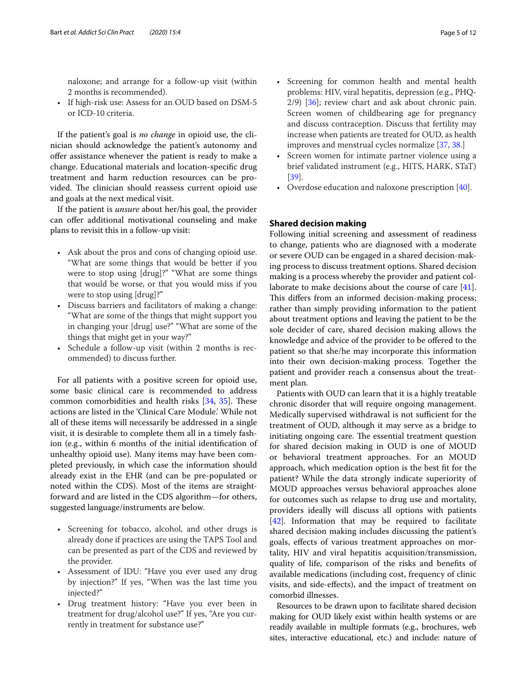naloxone; and arrange for a follow-up visit (within 2 months is recommended).

• If high-risk use: Assess for an OUD based on DSM-5 or ICD-10 criteria.

If the patient's goal is *no change* in opioid use, the clinician should acknowledge the patient's autonomy and ofer assistance whenever the patient is ready to make a change. Educational materials and location-specifc drug treatment and harm reduction resources can be provided. The clinician should reassess current opioid use and goals at the next medical visit.

If the patient is *unsure* about her/his goal, the provider can offer additional motivational counseling and make plans to revisit this in a follow-up visit:

- Ask about the pros and cons of changing opioid use. "What are some things that would be better if you were to stop using [drug]?" "What are some things that would be worse, or that you would miss if you were to stop using [drug]?"
- Discuss barriers and facilitators of making a change: "What are some of the things that might support you in changing your [drug] use?" "What are some of the things that might get in your way?"
- Schedule a follow-up visit (within 2 months is recommended) to discuss further.

For all patients with a positive screen for opioid use, some basic clinical care is recommended to address common comorbidities and health risks [[34,](#page-11-11) [35\]](#page-11-12). These actions are listed in the 'Clinical Care Module.' While not all of these items will necessarily be addressed in a single visit, it is desirable to complete them all in a timely fashion (e.g., within 6 months of the initial identifcation of unhealthy opioid use). Many items may have been completed previously, in which case the information should already exist in the EHR (and can be pre-populated or noted within the CDS). Most of the items are straightforward and are listed in the CDS algorithm—for others, suggested language/instruments are below.

- Screening for tobacco, alcohol, and other drugs is already done if practices are using the TAPS Tool and can be presented as part of the CDS and reviewed by the provider.
- Assessment of IDU: "Have you ever used any drug by injection?" If yes, "When was the last time you injected?"
- Drug treatment history: "Have you ever been in treatment for drug/alcohol use?" If yes, "Are you currently in treatment for substance use?"
- Screening for common health and mental health problems: HIV, viral hepatitis, depression (e.g., PHQ-2/9) [\[36\]](#page-11-13); review chart and ask about chronic pain. Screen women of childbearing age for pregnancy and discuss contraception. Discuss that fertility may increase when patients are treated for OUD, as health improves and menstrual cycles normalize [[37](#page-11-14), [38.](#page-11-15)]
- Screen women for intimate partner violence using a brief validated instrument (e.g., HITS, HARK, STaT) [[39\]](#page-11-16).
- Overdose education and naloxone prescription [[40](#page-11-17)].

#### **Shared decision making**

Following initial screening and assessment of readiness to change, patients who are diagnosed with a moderate or severe OUD can be engaged in a shared decision-making process to discuss treatment options. Shared decision making is a process whereby the provider and patient collaborate to make decisions about the course of care [\[41](#page-11-18)]. This differs from an informed decision-making process; rather than simply providing information to the patient about treatment options and leaving the patient to be the sole decider of care, shared decision making allows the knowledge and advice of the provider to be ofered to the patient so that she/he may incorporate this information into their own decision-making process. Together the patient and provider reach a consensus about the treatment plan.

Patients with OUD can learn that it is a highly treatable chronic disorder that will require ongoing management. Medically supervised withdrawal is not sufficient for the treatment of OUD, although it may serve as a bridge to initiating ongoing care. The essential treatment question for shared decision making in OUD is one of MOUD or behavioral treatment approaches. For an MOUD approach, which medication option is the best ft for the patient? While the data strongly indicate superiority of MOUD approaches versus behavioral approaches alone for outcomes such as relapse to drug use and mortality, providers ideally will discuss all options with patients [[42\]](#page-11-19). Information that may be required to facilitate shared decision making includes discussing the patient's goals, efects of various treatment approaches on mortality, HIV and viral hepatitis acquisition/transmission, quality of life, comparison of the risks and benefts of available medications (including cost, frequency of clinic visits, and side-efects), and the impact of treatment on comorbid illnesses.

Resources to be drawn upon to facilitate shared decision making for OUD likely exist within health systems or are readily available in multiple formats (e.g., brochures, web sites, interactive educational, etc.) and include: nature of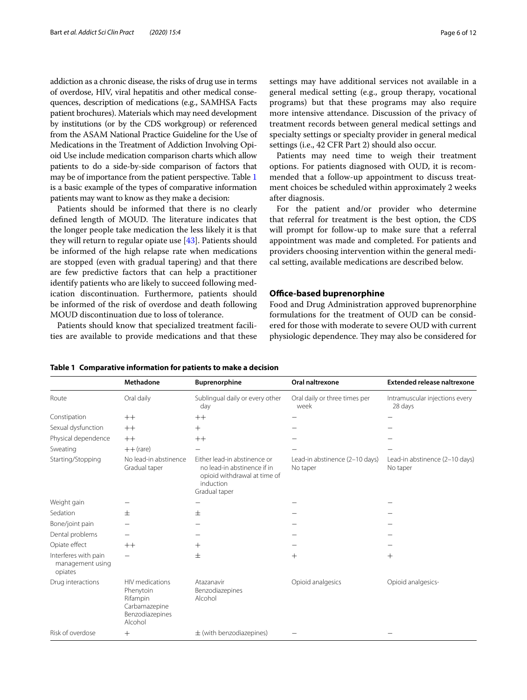addiction as a chronic disease, the risks of drug use in terms of overdose, HIV, viral hepatitis and other medical consequences, description of medications (e.g., SAMHSA Facts patient brochures). Materials which may need development by institutions (or by the CDS workgroup) or referenced from the ASAM National Practice Guideline for the Use of Medications in the Treatment of Addiction Involving Opioid Use include medication comparison charts which allow patients to do a side-by-side comparison of factors that may be of importance from the patient perspective. Table [1](#page-5-0) is a basic example of the types of comparative information patients may want to know as they make a decision:

Patients should be informed that there is no clearly defined length of MOUD. The literature indicates that the longer people take medication the less likely it is that they will return to regular opiate use [[43](#page-11-20)]. Patients should be informed of the high relapse rate when medications are stopped (even with gradual tapering) and that there are few predictive factors that can help a practitioner identify patients who are likely to succeed following medication discontinuation. Furthermore, patients should be informed of the risk of overdose and death following MOUD discontinuation due to loss of tolerance.

Patients should know that specialized treatment facilities are available to provide medications and that these settings may have additional services not available in a general medical setting (e.g., group therapy, vocational programs) but that these programs may also require more intensive attendance. Discussion of the privacy of treatment records between general medical settings and specialty settings or specialty provider in general medical settings (i.e., 42 CFR Part 2) should also occur.

Patients may need time to weigh their treatment options. For patients diagnosed with OUD, it is recommended that a follow-up appointment to discuss treatment choices be scheduled within approximately 2 weeks after diagnosis.

For the patient and/or provider who determine that referral for treatment is the best option, the CDS will prompt for follow-up to make sure that a referral appointment was made and completed. For patients and providers choosing intervention within the general medical setting, available medications are described below.

## **Office-based buprenorphine**

Food and Drug Administration approved buprenorphine formulations for the treatment of OUD can be considered for those with moderate to severe OUD with current physiologic dependence. They may also be considered for

<span id="page-5-0"></span>**Table 1 Comparative information for patients to make a decision**

**Methadone Buprenorphine Oral naltrexone Extended release naltrexone** Route **Sublingual daily** Sublingual daily **Sublingual daily** or every other day Oral daily or three times per week Intramuscular injections every 28 days Constipation  $++$  ++  $++$   $-$ Sexual dysfunction ++ + − − Physical dependence ++ ++ ++ Sweating ++(rare) − − − Starting/Stopping No lead-in abstinence Gradual taper Either lead-in abstinence or no lead-in abstinence if in opioid withdrawal at time of induction Gradual taper Lead-in abstinence (2–10 days) No taper Lead-in abstinence (2–10 days) No taper Weight gain − − − − Sedation ± ± − − Bone/joint pain − − − − Dental problems − − − − Opiate efect ++ + − − Interferes with pain management using opiates − ± + + Drug interactions HIV medications Phenytoin Rifampin Carbamazepine Benzodiazepines Alcohol Atazanavir Benzodiazepines Alcohol Opioid analgesics Opioid analgesics-Risk of overdose + ± (with benzodiazepines) − −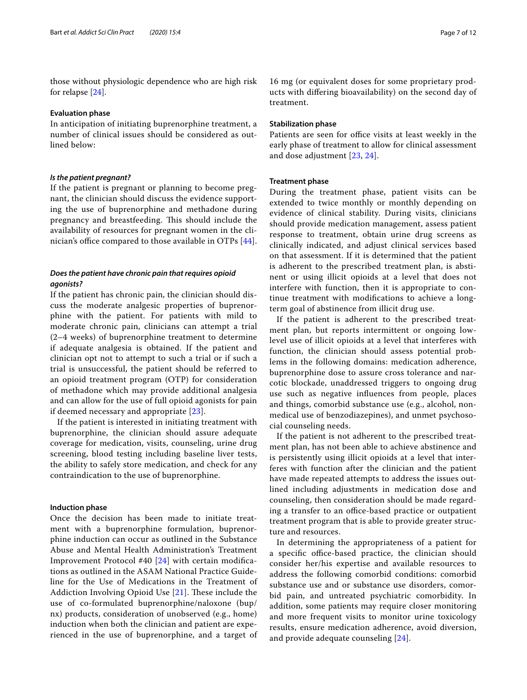those without physiologic dependence who are high risk for relapse [[24\]](#page-11-21).

#### **Evaluation phase**

In anticipation of initiating buprenorphine treatment, a number of clinical issues should be considered as outlined below:

## *Is the patient pregnant?*

If the patient is pregnant or planning to become pregnant, the clinician should discuss the evidence supporting the use of buprenorphine and methadone during pregnancy and breastfeeding. This should include the availability of resources for pregnant women in the clinician's office compared to those available in OTPs  $[44]$  $[44]$ .

## *Does the patient have chronic pain that requires opioid agonists?*

If the patient has chronic pain, the clinician should discuss the moderate analgesic properties of buprenorphine with the patient. For patients with mild to moderate chronic pain, clinicians can attempt a trial (2–4 weeks) of buprenorphine treatment to determine if adequate analgesia is obtained. If the patient and clinician opt not to attempt to such a trial or if such a trial is unsuccessful, the patient should be referred to an opioid treatment program (OTP) for consideration of methadone which may provide additional analgesia and can allow for the use of full opioid agonists for pain if deemed necessary and appropriate [[23\]](#page-11-23).

If the patient is interested in initiating treatment with buprenorphine, the clinician should assure adequate coverage for medication, visits, counseling, urine drug screening, blood testing including baseline liver tests, the ability to safely store medication, and check for any contraindication to the use of buprenorphine.

#### **Induction phase**

Once the decision has been made to initiate treatment with a buprenorphine formulation, buprenorphine induction can occur as outlined in the Substance Abuse and Mental Health Administration's Treatment Improvement Protocol #40 [[24\]](#page-11-21) with certain modifcations as outlined in the ASAM National Practice Guideline for the Use of Medications in the Treatment of Addiction Involving Opioid Use  $[21]$  $[21]$  $[21]$ . These include the use of co-formulated buprenorphine/naloxone (bup/ nx) products, consideration of unobserved (e.g., home) induction when both the clinician and patient are experienced in the use of buprenorphine, and a target of

16 mg (or equivalent doses for some proprietary products with difering bioavailability) on the second day of treatment.

## **Stabilization phase**

Patients are seen for office visits at least weekly in the early phase of treatment to allow for clinical assessment and dose adjustment [[23,](#page-11-23) [24\]](#page-11-21).

#### **Treatment phase**

During the treatment phase, patient visits can be extended to twice monthly or monthly depending on evidence of clinical stability. During visits, clinicians should provide medication management, assess patient response to treatment, obtain urine drug screens as clinically indicated, and adjust clinical services based on that assessment. If it is determined that the patient is adherent to the prescribed treatment plan, is abstinent or using illicit opioids at a level that does not interfere with function, then it is appropriate to continue treatment with modifcations to achieve a longterm goal of abstinence from illicit drug use.

If the patient is adherent to the prescribed treatment plan, but reports intermittent or ongoing lowlevel use of illicit opioids at a level that interferes with function, the clinician should assess potential problems in the following domains: medication adherence, buprenorphine dose to assure cross tolerance and narcotic blockade, unaddressed triggers to ongoing drug use such as negative infuences from people, places and things, comorbid substance use (e.g., alcohol, nonmedical use of benzodiazepines), and unmet psychosocial counseling needs.

If the patient is not adherent to the prescribed treatment plan, has not been able to achieve abstinence and is persistently using illicit opioids at a level that interferes with function after the clinician and the patient have made repeated attempts to address the issues outlined including adjustments in medication dose and counseling, then consideration should be made regarding a transfer to an office-based practice or outpatient treatment program that is able to provide greater structure and resources.

In determining the appropriateness of a patient for a specific office-based practice, the clinician should consider her/his expertise and available resources to address the following comorbid conditions: comorbid substance use and or substance use disorders, comorbid pain, and untreated psychiatric comorbidity. In addition, some patients may require closer monitoring and more frequent visits to monitor urine toxicology results, ensure medication adherence, avoid diversion, and provide adequate counseling [[24\]](#page-11-21).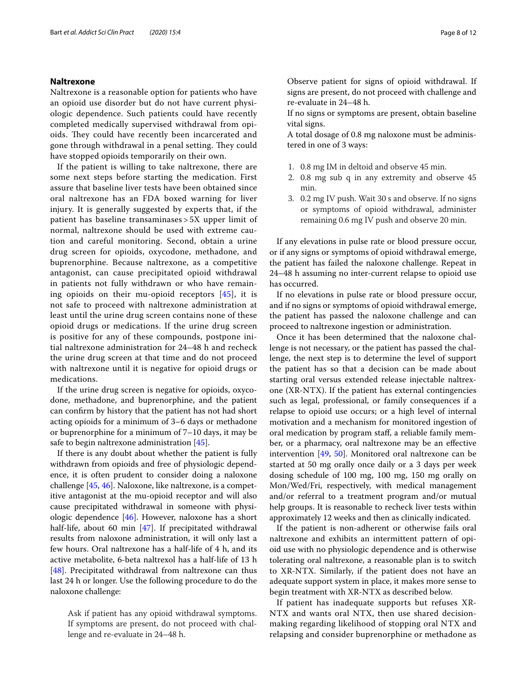#### **Naltrexone**

Naltrexone is a reasonable option for patients who have an opioid use disorder but do not have current physiologic dependence. Such patients could have recently completed medically supervised withdrawal from opioids. They could have recently been incarcerated and gone through withdrawal in a penal setting. They could have stopped opioids temporarily on their own.

If the patient is willing to take naltrexone, there are some next steps before starting the medication. First assure that baseline liver tests have been obtained since oral naltrexone has an FDA boxed warning for liver injury. It is generally suggested by experts that, if the patient has baseline transaminases > 5X upper limit of normal, naltrexone should be used with extreme caution and careful monitoring. Second, obtain a urine drug screen for opioids, oxycodone, methadone, and buprenorphine. Because naltrexone, as a competitive antagonist, can cause precipitated opioid withdrawal in patients not fully withdrawn or who have remaining opioids on their mu-opioid receptors [\[45](#page-11-24)], it is not safe to proceed with naltrexone administration at least until the urine drug screen contains none of these opioid drugs or medications. If the urine drug screen is positive for any of these compounds, postpone initial naltrexone administration for 24–48 h and recheck the urine drug screen at that time and do not proceed with naltrexone until it is negative for opioid drugs or medications.

If the urine drug screen is negative for opioids, oxycodone, methadone, and buprenorphine, and the patient can confrm by history that the patient has not had short acting opioids for a minimum of 3–6 days or methadone or buprenorphine for a minimum of 7–10 days, it may be safe to begin naltrexone administration [[45\]](#page-11-24).

If there is any doubt about whether the patient is fully withdrawn from opioids and free of physiologic dependence, it is often prudent to consider doing a naloxone challenge [[45](#page-11-24), [46\]](#page-11-25). Naloxone, like naltrexone, is a competitive antagonist at the mu-opioid receptor and will also cause precipitated withdrawal in someone with physiologic dependence [\[46](#page-11-25)]. However, naloxone has a short half-life, about 60 min [[47\]](#page-11-26). If precipitated withdrawal results from naloxone administration, it will only last a few hours. Oral naltrexone has a half-life of 4 h, and its active metabolite, 6-beta naltrexol has a half-life of 13 h [[48\]](#page-11-27). Precipitated withdrawal from naltrexone can thus last 24 h or longer. Use the following procedure to do the naloxone challenge:

Ask if patient has any opioid withdrawal symptoms. If symptoms are present, do not proceed with challenge and re-evaluate in 24–48 h.

Observe patient for signs of opioid withdrawal. If signs are present, do not proceed with challenge and re-evaluate in 24–48 h.

If no signs or symptoms are present, obtain baseline vital signs.

A total dosage of 0.8 mg naloxone must be administered in one of 3 ways:

- 1. 0.8 mg IM in deltoid and observe 45 min.
- 2. 0.8 mg sub q in any extremity and observe 45 min.
- 3. 0.2 mg IV push. Wait 30 s and observe. If no signs or symptoms of opioid withdrawal, administer remaining 0.6 mg IV push and observe 20 min.

If any elevations in pulse rate or blood pressure occur, or if any signs or symptoms of opioid withdrawal emerge, the patient has failed the naloxone challenge. Repeat in 24–48 h assuming no inter-current relapse to opioid use has occurred.

If no elevations in pulse rate or blood pressure occur, and if no signs or symptoms of opioid withdrawal emerge, the patient has passed the naloxone challenge and can proceed to naltrexone ingestion or administration.

Once it has been determined that the naloxone challenge is not necessary, or the patient has passed the challenge, the next step is to determine the level of support the patient has so that a decision can be made about starting oral versus extended release injectable naltrexone (XR-NTX). If the patient has external contingencies such as legal, professional, or family consequences if a relapse to opioid use occurs; or a high level of internal motivation and a mechanism for monitored ingestion of oral medication by program staf, a reliable family member, or a pharmacy, oral naltrexone may be an efective intervention [\[49,](#page-11-28) [50\]](#page-11-29). Monitored oral naltrexone can be started at 50 mg orally once daily or a 3 days per week dosing schedule of 100 mg, 100 mg, 150 mg orally on Mon/Wed/Fri, respectively, with medical management and/or referral to a treatment program and/or mutual help groups. It is reasonable to recheck liver tests within approximately 12 weeks and then as clinically indicated.

If the patient is non-adherent or otherwise fails oral naltrexone and exhibits an intermittent pattern of opioid use with no physiologic dependence and is otherwise tolerating oral naltrexone, a reasonable plan is to switch to XR-NTX. Similarly, if the patient does not have an adequate support system in place, it makes more sense to begin treatment with XR-NTX as described below.

If patient has inadequate supports but refuses XR-NTX and wants oral NTX, then use shared decisionmaking regarding likelihood of stopping oral NTX and relapsing and consider buprenorphine or methadone as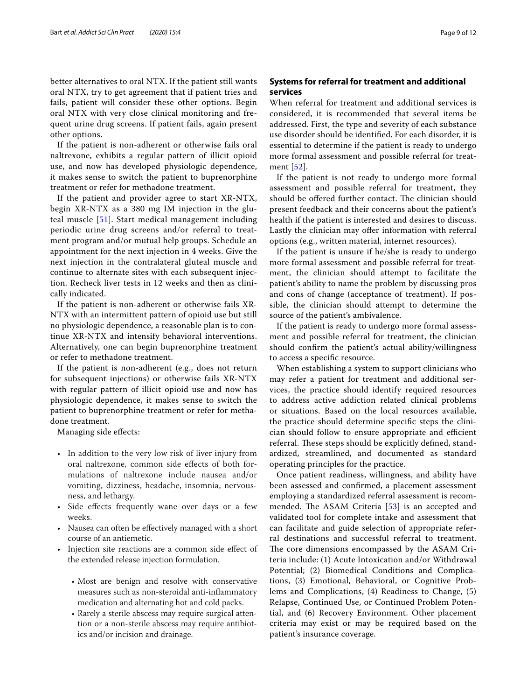better alternatives to oral NTX. If the patient still wants oral NTX, try to get agreement that if patient tries and fails, patient will consider these other options. Begin oral NTX with very close clinical monitoring and frequent urine drug screens. If patient fails, again present other options.

If the patient is non-adherent or otherwise fails oral naltrexone, exhibits a regular pattern of illicit opioid use, and now has developed physiologic dependence, it makes sense to switch the patient to buprenorphine treatment or refer for methadone treatment.

If the patient and provider agree to start XR-NTX, begin XR-NTX as a 380 mg IM injection in the gluteal muscle [\[51](#page-11-30)]. Start medical management including periodic urine drug screens and/or referral to treatment program and/or mutual help groups. Schedule an appointment for the next injection in 4 weeks. Give the next injection in the contralateral gluteal muscle and continue to alternate sites with each subsequent injection. Recheck liver tests in 12 weeks and then as clinically indicated.

If the patient is non-adherent or otherwise fails XR-NTX with an intermittent pattern of opioid use but still no physiologic dependence, a reasonable plan is to continue XR-NTX and intensify behavioral interventions. Alternatively, one can begin buprenorphine treatment or refer to methadone treatment.

If the patient is non-adherent (e.g., does not return for subsequent injections) or otherwise fails XR-NTX with regular pattern of illicit opioid use and now has physiologic dependence, it makes sense to switch the patient to buprenorphine treatment or refer for methadone treatment.

Managing side efects:

- In addition to the very low risk of liver injury from oral naltrexone, common side efects of both formulations of naltrexone include nausea and/or vomiting, dizziness, headache, insomnia, nervousness, and lethargy.
- Side effects frequently wane over days or a few weeks.
- Nausea can often be effectively managed with a short course of an antiemetic.
- Injection site reactions are a common side effect of the extended release injection formulation.
	- Most are benign and resolve with conservative measures such as non-steroidal anti-infammatory medication and alternating hot and cold packs.
	- Rarely a sterile abscess may require surgical attention or a non-sterile abscess may require antibiotics and/or incision and drainage.

When referral for treatment and additional services is considered, it is recommended that several items be addressed. First, the type and severity of each substance use disorder should be identifed. For each disorder, it is essential to determine if the patient is ready to undergo more formal assessment and possible referral for treatment [\[52](#page-11-31)].

If the patient is not ready to undergo more formal assessment and possible referral for treatment, they should be offered further contact. The clinician should present feedback and their concerns about the patient's health if the patient is interested and desires to discuss. Lastly the clinician may ofer information with referral options (e.g., written material, internet resources).

If the patient is unsure if he/she is ready to undergo more formal assessment and possible referral for treatment, the clinician should attempt to facilitate the patient's ability to name the problem by discussing pros and cons of change (acceptance of treatment). If possible, the clinician should attempt to determine the source of the patient's ambivalence.

If the patient is ready to undergo more formal assessment and possible referral for treatment, the clinician should confrm the patient's actual ability/willingness to access a specifc resource.

When establishing a system to support clinicians who may refer a patient for treatment and additional services, the practice should identify required resources to address active addiction related clinical problems or situations. Based on the local resources available, the practice should determine specifc steps the clinician should follow to ensure appropriate and efficient referral. These steps should be explicitly defined, standardized, streamlined, and documented as standard operating principles for the practice.

Once patient readiness, willingness, and ability have been assessed and confrmed, a placement assessment employing a standardized referral assessment is recom-mended. The ASAM Criteria [[53\]](#page-11-32) is an accepted and validated tool for complete intake and assessment that can facilitate and guide selection of appropriate referral destinations and successful referral to treatment. The core dimensions encompassed by the ASAM Criteria include: (1) Acute Intoxication and/or Withdrawal Potential; (2) Biomedical Conditions and Complications, (3) Emotional, Behavioral, or Cognitive Problems and Complications, (4) Readiness to Change, (5) Relapse, Continued Use, or Continued Problem Potential, and (6) Recovery Environment. Other placement criteria may exist or may be required based on the patient's insurance coverage.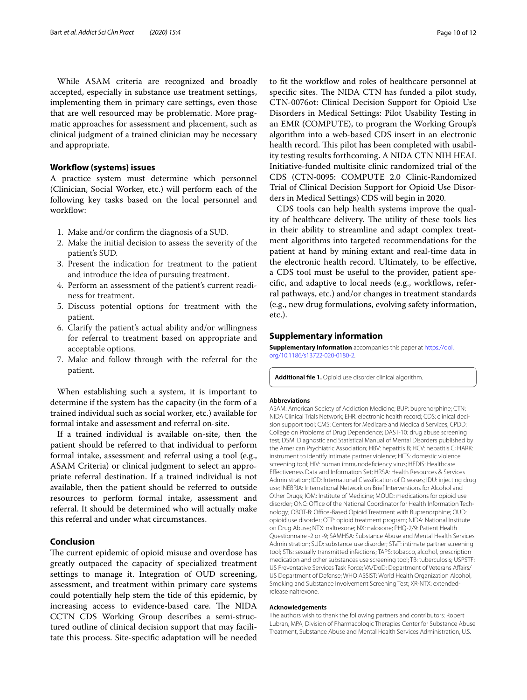While ASAM criteria are recognized and broadly accepted, especially in substance use treatment settings, implementing them in primary care settings, even those that are well resourced may be problematic. More pragmatic approaches for assessment and placement, such as clinical judgment of a trained clinician may be necessary and appropriate.

## **Workfow (systems) issues**

A practice system must determine which personnel (Clinician, Social Worker, etc.) will perform each of the following key tasks based on the local personnel and workflow:

- 1. Make and/or confrm the diagnosis of a SUD.
- 2. Make the initial decision to assess the severity of the patient's SUD.
- 3. Present the indication for treatment to the patient and introduce the idea of pursuing treatment.
- 4. Perform an assessment of the patient's current readiness for treatment.
- 5. Discuss potential options for treatment with the patient.
- 6. Clarify the patient's actual ability and/or willingness for referral to treatment based on appropriate and acceptable options.
- 7. Make and follow through with the referral for the patient.

When establishing such a system, it is important to determine if the system has the capacity (in the form of a trained individual such as social worker, etc.) available for formal intake and assessment and referral on-site.

If a trained individual is available on-site, then the patient should be referred to that individual to perform formal intake, assessment and referral using a tool (e.g., ASAM Criteria) or clinical judgment to select an appropriate referral destination. If a trained individual is not available, then the patient should be referred to outside resources to perform formal intake, assessment and referral. It should be determined who will actually make this referral and under what circumstances.

## **Conclusion**

The current epidemic of opioid misuse and overdose has greatly outpaced the capacity of specialized treatment settings to manage it. Integration of OUD screening, assessment, and treatment within primary care systems could potentially help stem the tide of this epidemic, by increasing access to evidence-based care. The NIDA CCTN CDS Working Group describes a semi-structured outline of clinical decision support that may facilitate this process. Site-specifc adaptation will be needed

to ft the workfow and roles of healthcare personnel at specific sites. The NIDA CTN has funded a pilot study, CTN-0076ot: Clinical Decision Support for Opioid Use Disorders in Medical Settings: Pilot Usability Testing in an EMR (COMPUTE), to program the Working Group's algorithm into a web-based CDS insert in an electronic health record. This pilot has been completed with usability testing results forthcoming. A NIDA CTN NIH HEAL Initiative-funded multisite clinic randomized trial of the CDS (CTN-0095: COMPUTE 2.0 Clinic-Randomized Trial of Clinical Decision Support for Opioid Use Disorders in Medical Settings) CDS will begin in 2020.

CDS tools can help health systems improve the quality of healthcare delivery. The utility of these tools lies in their ability to streamline and adapt complex treatment algorithms into targeted recommendations for the patient at hand by mining extant and real-time data in the electronic health record. Ultimately, to be efective, a CDS tool must be useful to the provider, patient specific, and adaptive to local needs (e.g., workflows, referral pathways, etc.) and/or changes in treatment standards (e.g., new drug formulations, evolving safety information, etc.).

#### **Supplementary information**

**Supplementary information** accompanies this paper at [https://doi.](https://doi.org/10.1186/s13722-020-0180-2) [org/10.1186/s13722-020-0180-2.](https://doi.org/10.1186/s13722-020-0180-2)

<span id="page-9-0"></span>**Additional fle 1.** Opioid use disorder clinical algorithm.

#### **Abbreviations**

ASAM: American Society of Addiction Medicine; BUP: buprenorphine; CTN: NIDA Clinical Trials Network; EHR: electronic health record; CDS: clinical deci‑ sion support tool; CMS: Centers for Medicare and Medicaid Services; CPDD: College on Problems of Drug Dependence; DAST-10: drug abuse screening test; DSM: Diagnostic and Statistical Manual of Mental Disorders published by the American Psychiatric Association; HBV: hepatitis B; HCV: hepatitis C; HARK: instrument to identify intimate partner violence; HITS: domestic violence screening tool; HIV: human immunodefciency virus; HEDIS: Healthcare Efectiveness Data and Information Set; HRSA: Health Resources & Services Administration; ICD: International Classifcation of Diseases; IDU: injecting drug use; INEBRIA: International Network on Brief Interventions for Alcohol and Other Drugs; IOM: Institute of Medicine; MOUD: medications for opioid use disorder; ONC: Office of the National Coordinator for Health Information Technology; OBOT-B: Office-Based Opioid Treatment with Buprenorphine; OUD: opioid use disorder; OTP: opioid treatment program; NIDA: National Institute on Drug Abuse; NTX: naltrexone; NX: naloxone; PHQ-2/9: Patient Health Questionnaire -2 or -9; SAMHSA: Substance Abuse and Mental Health Services Administration; SUD: substance use disorder; STaT: intimate partner screening tool; STIs: sexually transmitted infections; TAPS: tobacco, alcohol, prescription medication and other substances use screening tool; TB: tuberculosis; USPSTF: US Preventative Services Task Force; VA/DoD: Department of Veterans Afairs/ US Department of Defense; WHO ASSIST: World Health Organization Alcohol, Smoking and Substance Involvement Screening Test; XR-NTX: extendedrelease naltrexone.

#### **Acknowledgements**

The authors wish to thank the following partners and contributors: Robert Lubran, MPA, Division of Pharmacologic Therapies Center for Substance Abuse Treatment, Substance Abuse and Mental Health Services Administration, U.S.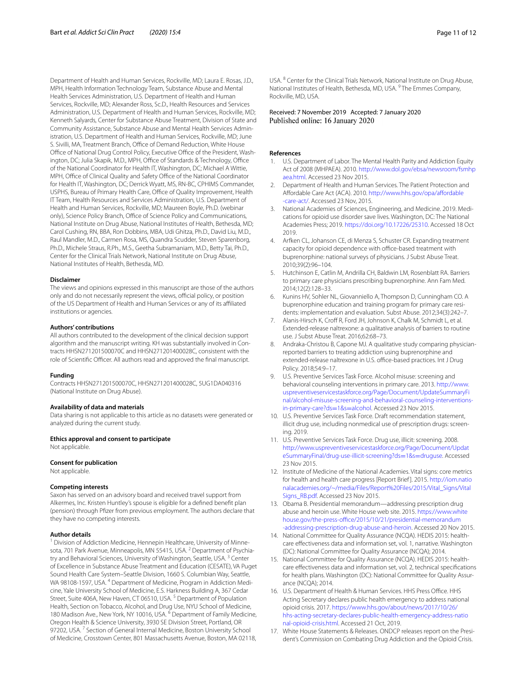Department of Health and Human Services, Rockville, MD; Laura E. Rosas, J.D., MPH, Health Information Technology Team, Substance Abuse and Mental Health Services Administration, U.S. Department of Health and Human Services, Rockville, MD; Alexander Ross, Sc.D., Health Resources and Services Administration, U.S. Department of Health and Human Services, Rockville, MD; Kenneth Salyards, Center for Substance Abuse Treatment, Division of State and Community Assistance, Substance Abuse and Mental Health Services Admin‑ istration, U.S. Department of Health and Human Services, Rockville, MD; June S. Sivilli, MA, Treatment Branch, Office of Demand Reduction, White House Office of National Drug Control Policy, Executive Office of the President, Washington, DC; Julia Skapik, M.D., MPH, Office of Standards & Technology, Office of the National Coordinator for Health IT, Washington, DC; Michael A Wittie, MPH, Office of Clinical Quality and Safety Office of the National Coordinator for Health IT, Washington, DC; Derrick Wyatt, MS, RN-BC, CPHIMS Commander, USPHS, Bureau of Primary Health Care, Office of Quality Improvement, Health IT Team, Health Resources and Services Administration, U.S. Department of Health and Human Services, Rockville, MD; Maureen Boyle, Ph.D. (webinar only), Science Policy Branch, Office of Science Policy and Communications, National Institute on Drug Abuse, National Institutes of Health, Bethesda, MD; Carol Cushing, RN, BBA, Ron Dobbins, MBA, Udi Ghitza, Ph.D., David Liu, M.D., Raul Mandler, M.D., Carmen Rosa, MS, Quandra Scudder, Steven Sparenborg, Ph.D., Michele Straus, R.Ph., M.S., Geetha Subramaniam, M.D., Betty Tai, Ph.D., Center for the Clinical Trials Network, National Institute on Drug Abuse, National Institutes of Health, Bethesda, MD.

#### **Disclaimer**

The views and opinions expressed in this manuscript are those of the authors only and do not necessarily represent the views, official policy, or position of the US Department of Health and Human Services or any of its afliated institutions or agencies.

#### **Authors' contributions**

All authors contributed to the development of the clinical decision support algorithm and the manuscript writing. KH was substantially involved in Contracts HHSN271201500070C and HHSN271201400028C, consistent with the role of Scientific Officer. All authors read and approved the final manuscript.

#### **Funding**

Contracts HHSN271201500070C, HHSN271201400028C, 5UG1DA040316 (National Institute on Drug Abuse).

#### **Availability of data and materials**

Data sharing is not applicable to this article as no datasets were generated or analyzed during the current study.

## **Ethics approval and consent to participate**

Not applicable.

#### **Consent for publication**

Not applicable.

#### **Competing interests**

Saxon has served on an advisory board and received travel support from Alkermes, Inc. Kristen Huntley's spouse is eligible for a defned beneft plan (pension) through Pfzer from previous employment. The authors declare that they have no competing interests.

#### **Author details**

<sup>1</sup> Division of Addiction Medicine, Hennepin Healthcare, University of Minnesota, 701 Park Avenue, Minneapolis, MN 55415, USA.<sup>2</sup> Department of Psychiatry and Behavioral Sciences, University of Washington, Seattle, USA. 3 Center of Excellence in Substance Abuse Treatment and Education (CESATE), VA Puget Sound Health Care System–Seattle Division, 1660 S. Columbian Way, Seattle, WA 98108-1597, USA. <sup>4</sup> Department of Medicine, Program in Addiction Medicine, Yale University School of Medicine, E.S. Harkness Building A, 367 Cedar Street, Suite 406A, New Haven, CT 06510, USA.<sup>5</sup> Department of Population Health, Section on Tobacco, Alcohol, and Drug Use, NYU School of Medicine, 180 Madison Ave., New York, NY 10016, USA. <sup>6</sup> Department of Family Medicine, Oregon Health & Science University, 3930 SE Division Street, Portland, OR 97202, USA.<sup>7</sup> Section of General Internal Medicine, Boston University School of Medicine, Crosstown Center, 801 Massachusetts Avenue, Boston, MA 02118, USA. 8 Center for the Clinical Trials Network, National Institute on Drug Abuse, National Institutes of Health, Bethesda, MD, USA. <sup>9</sup> The Emmes Company, Rockville, MD, USA.

Received: 7 November 2019 Accepted: 7 January 2020 Published online: 16 January 2020

#### **References**

- <span id="page-10-0"></span>1. U.S. Department of Labor. The Mental Health Parity and Addiction Equity Act of 2008 (MHPAEA). 2010. [http://www.dol.gov/ebsa/newsroom/fsmhp](http://www.dol.gov/ebsa/newsroom/fsmhpaea.html) [aea.html](http://www.dol.gov/ebsa/newsroom/fsmhpaea.html). Accessed 23 Nov 2015.
- <span id="page-10-1"></span>2. Department of Health and Human Services. The Patient Protection and Affordable Care Act (ACA). 2010. http://www.hhs.gov/opa/affordable [-care-act/.](http://www.hhs.gov/opa/affordable-care-act/) Accessed 23 Nov, 2015.
- <span id="page-10-2"></span>3. National Academies of Sciences, Engineering, and Medicine. 2019. Medications for opioid use disorder save lives. Washington, DC: The National Academies Press; 2019. [https://doi.org/10.17226/25310.](https://doi.org/10.17226/25310) Accessed 18 Oct 2019.
- <span id="page-10-3"></span>4. Arfken CL, Johanson CE, di Menza S, Schuster CR. Expanding treatment capacity for opioid dependence with office-based treatment with buprenorphine: national surveys of physicians. J Subst Abuse Treat. 2010;39(2):96–104.
- 5. Hutchinson E, Catlin M, Andrilla CH, Baldwin LM, Rosenblatt RA. Barriers to primary care physicians prescribing buprenorphine. Ann Fam Med. 2014;12(2):128–33.
- <span id="page-10-4"></span>6. Kunins HV, Sohler NL, Giovanniello A, Thompson D, Cunningham CO. A buprenorphine education and training program for primary care residents: implementation and evaluation. Subst Abuse. 2012;34(3):242–7.
- <span id="page-10-5"></span>7. Alanis-Hirsch K, Croff R, Ford JH, Johnson K, Chalk M, Schmidt L, et al. Extended-release naltrexone: a qualitative analysis of barriers to routine use. J Subst Abuse Treat. 2016;62:68–73.
- <span id="page-10-6"></span>8. Andraka-Christou B, Capone MJ. A qualitative study comparing physicianreported barriers to treating addiction using buprenorphine and extended-release naltrexone in U.S. office-based practices. Int J Drug Policy. 2018;54:9–17.
- <span id="page-10-7"></span>9. U.S. Preventive Services Task Force. Alcohol misuse: screening and behavioral counseling interventions in primary care. 2013. [http://www.](http://www.uspreventiveservicestaskforce.org/Page/Document/UpdateSummaryFinal/alcohol-misuse-screening-and-behavioral-counseling-interventions-in-primary-care%3fds%3d1%26s%3dalcohol) [uspreventiveservicestaskforce.org/Page/Document/UpdateSummaryFi](http://www.uspreventiveservicestaskforce.org/Page/Document/UpdateSummaryFinal/alcohol-misuse-screening-and-behavioral-counseling-interventions-in-primary-care%3fds%3d1%26s%3dalcohol) [nal/alcohol-misuse-screening-and-behavioral-counseling-interventions](http://www.uspreventiveservicestaskforce.org/Page/Document/UpdateSummaryFinal/alcohol-misuse-screening-and-behavioral-counseling-interventions-in-primary-care%3fds%3d1%26s%3dalcohol)[in-primary-care?ds](http://www.uspreventiveservicestaskforce.org/Page/Document/UpdateSummaryFinal/alcohol-misuse-screening-and-behavioral-counseling-interventions-in-primary-care%3fds%3d1%26s%3dalcohol)=1&s=alcohol. Accessed 23 Nov 2015.
- <span id="page-10-8"></span>10. U.S. Preventive Services Task Force. Draft recommendation statement, illicit drug use, including nonmedical use of prescription drugs: screening. 2019.
- <span id="page-10-9"></span>11. U.S. Preventive Services Task Force. Drug use, illicit: screening. 2008. [http://www.uspreventiveservicestaskforce.org/Page/Document/Updat](http://www.uspreventiveservicestaskforce.org/Page/Document/UpdateSummaryFinal/drug-use-illicit-screening%3fds%3d1%26s%3ddruguse) [eSummaryFinal/drug-use-illicit-screening?ds](http://www.uspreventiveservicestaskforce.org/Page/Document/UpdateSummaryFinal/drug-use-illicit-screening%3fds%3d1%26s%3ddruguse)=1&s=druguse. Accessed 23 Nov 2015.
- <span id="page-10-10"></span>12. Institute of Medicine of the National Academies. Vital signs: core metrics for health and health care progress [Report Brief ]. 2015. [http://iom.natio](http://iom.nationalacademies.org/%7e/media/Files/Report%20Files/2015/Vital_Signs/VitalSigns_RB.pdf) [nalacademies.org/~/media/Files/Report%20Files/2015/Vital\\_Signs/Vital](http://iom.nationalacademies.org/%7e/media/Files/Report%20Files/2015/Vital_Signs/VitalSigns_RB.pdf) [Signs\\_RB.pdf](http://iom.nationalacademies.org/%7e/media/Files/Report%20Files/2015/Vital_Signs/VitalSigns_RB.pdf). Accessed 23 Nov 2015.
- <span id="page-10-11"></span>13. Obama B. Presidential memorandum—addressing prescription drug abuse and heroin use. White House web site. 2015. [https://www.white](https://www.whitehouse.gov/the-press-office/2015/10/21/presidential-memorandum-addressing-prescription-drug-abuse-and-heroin) house.gov/the-press-office/2015/10/21/presidential-memorandum [-addressing-prescription-drug-abuse-and-heroin](https://www.whitehouse.gov/the-press-office/2015/10/21/presidential-memorandum-addressing-prescription-drug-abuse-and-heroin). Accessed 20 Nov 2015.
- <span id="page-10-12"></span>14. National Committee for Quality Assurance (NCQA). HEDIS 2015: healthcare efectiveness data and information set, vol. 1, narrative. Washington (DC): National Committee for Quality Assurance (NCQA); 2014.
- <span id="page-10-13"></span>15. National Committee for Quality Assurance (NCQA). HEDIS 2015: healthcare efectiveness data and information set, vol. 2, technical specifcations for health plans. Washington (DC): National Committee for Quality Assurance (NCQA); 2014.
- <span id="page-10-14"></span>16. U.S. Department of Health & Human Services. HHS Press Office. HHS Acting Secretary declares public health emergency to address national opioid crisis. 2017. [https://www.hhs.gov/about/news/2017/10/26/](https://www.hhs.gov/about/news/2017/10/26/hhs-acting-secretary-declares-public-health-emergency-address-national-opioid-crisis.html) [hhs-acting-secretary-declares-public-health-emergency-address-natio](https://www.hhs.gov/about/news/2017/10/26/hhs-acting-secretary-declares-public-health-emergency-address-national-opioid-crisis.html) [nal-opioid-crisis.html](https://www.hhs.gov/about/news/2017/10/26/hhs-acting-secretary-declares-public-health-emergency-address-national-opioid-crisis.html). Accessed 21 Oct, 2019.
- <span id="page-10-15"></span>17. White House Statements & Releases. ONDCP releases report on the President's Commission on Combating Drug Addiction and the Opioid Crisis.